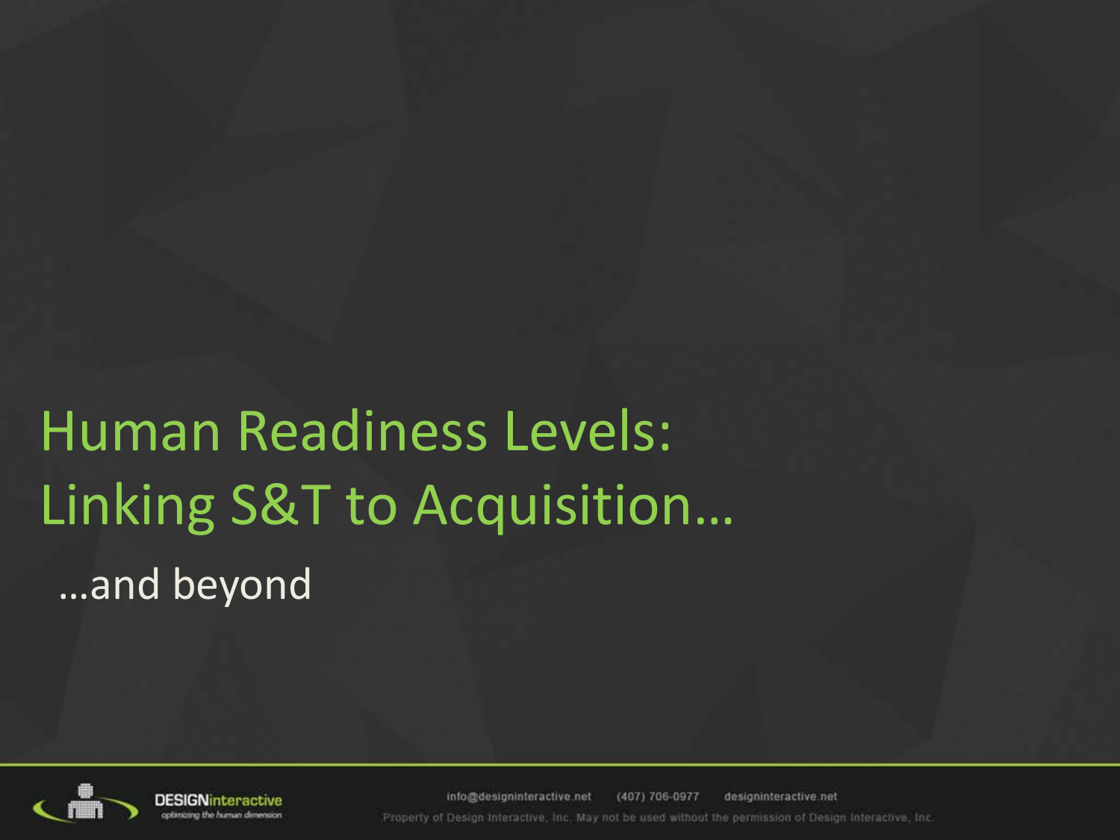**Human Readiness Levels:** Linking S&T to Acquisition... ...and beyond



info@designinteractive.net (407) 706-0977 designinteractive.net Property of Design Interactive, Inc. May not be used without the permission of Design Interactive, Inc.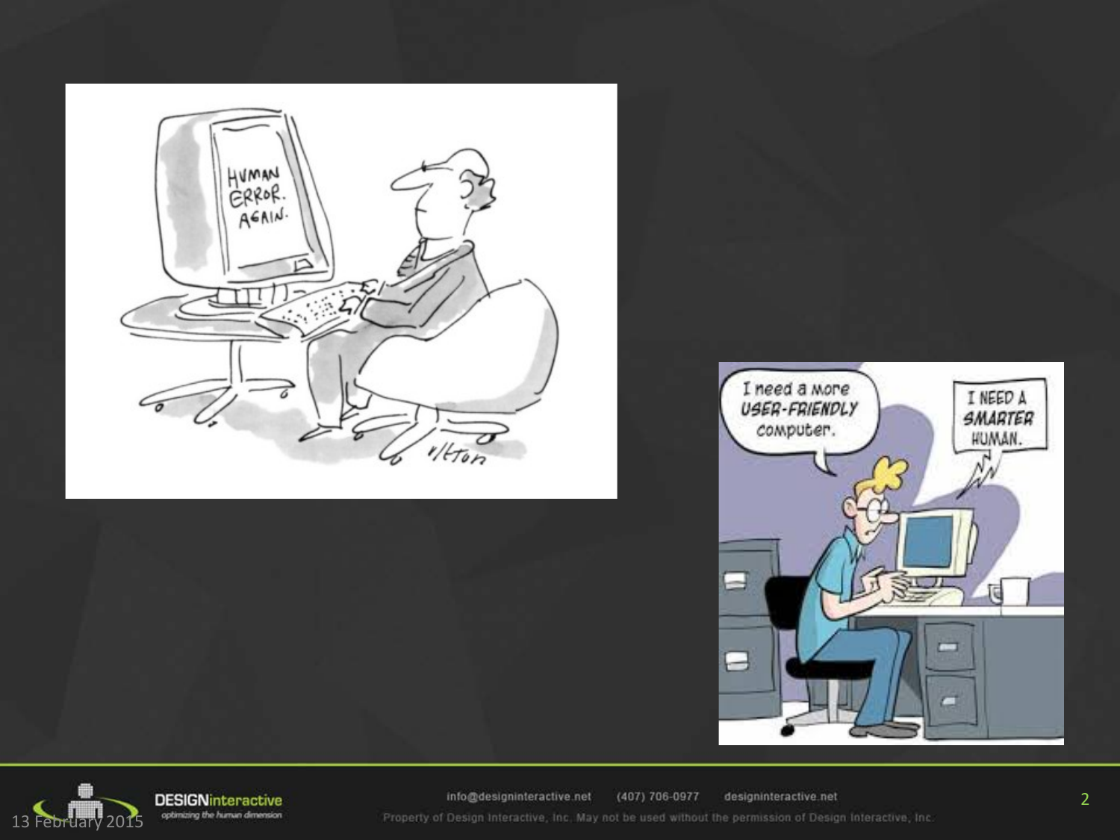





**DESIGNinteractive** optimizing the human dimension

info@designinteractive.net (407) 706-0977 designinteractive.net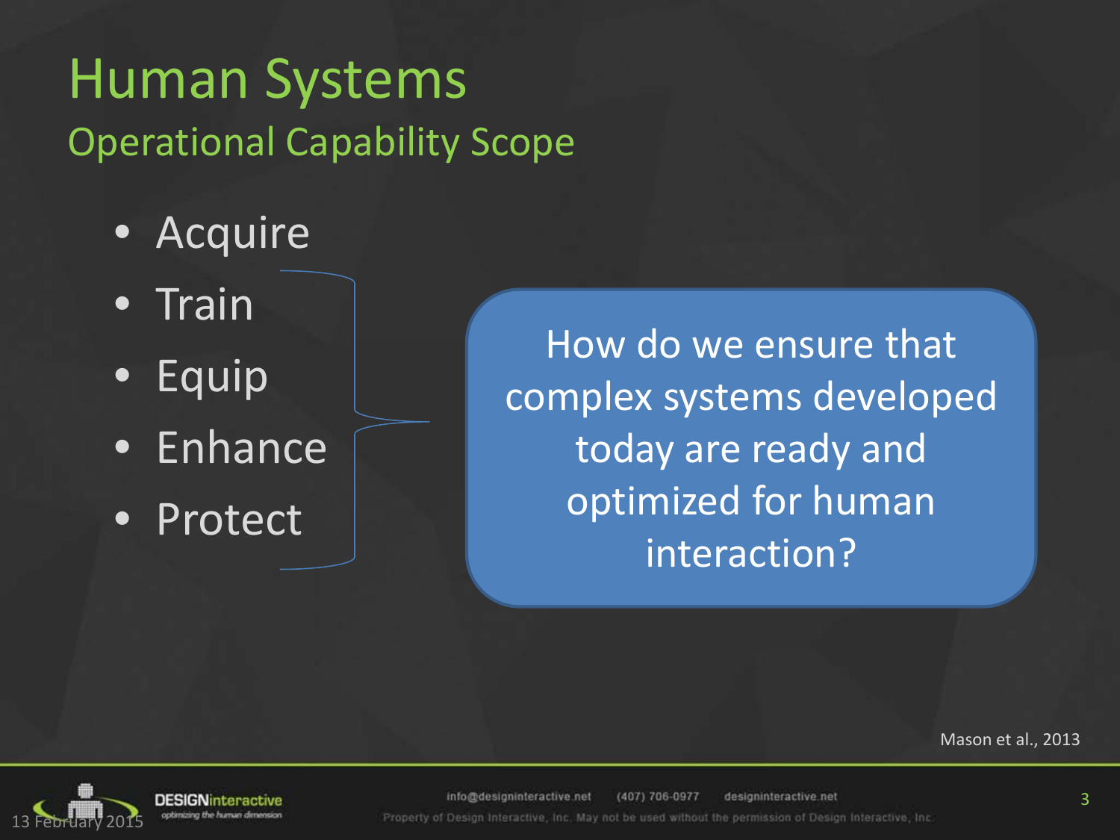### Human Systems Operational Capability Scope

- Acquire
- Train
- Equip
- Enhance
- Protect

How do we ensure that complex systems developed today are ready and optimized for human interaction?

Mason et al., 2013



**DESIGNinteractive** optimizing the human

info@designinteractive.net (407) 706-0977 designinteractive.net Properly of Design Interactive, Inc. May not be used without the permission of Design Interactive, Inc.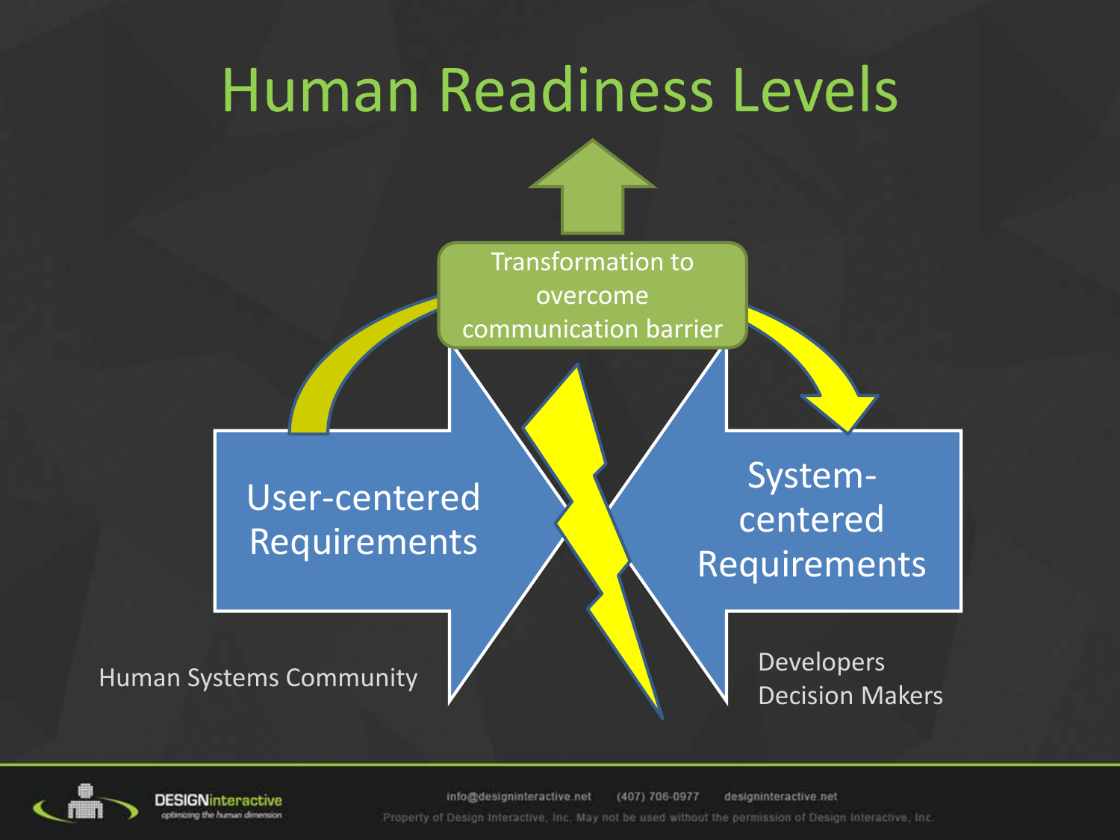## Human Readiness Levels





**DESIGN**interactive

(407) 706-0977 info@designinteractive.net designinteractive.net Property of Design Interactive, Inc. May not be used without the permission of Design Interactive, Inc.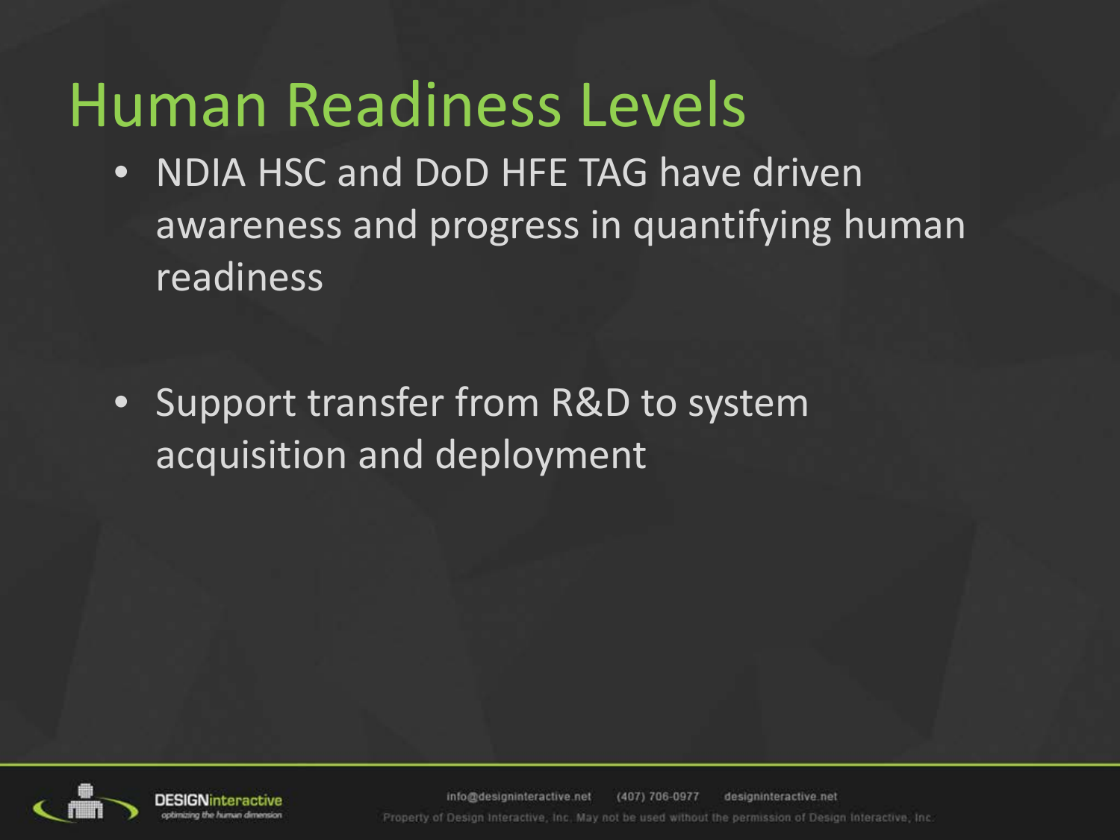## Human Readiness Levels

- NDIA HSC and DoD HFE TAG have driven awareness and progress in quantifying human readiness
- Support transfer from R&D to system acquisition and deployment



info@designinteractive.net (407) 706-0977 designinteractive net Properly of Design Interactive, Inc. May not be used without the permission of Design Interactive, Inc.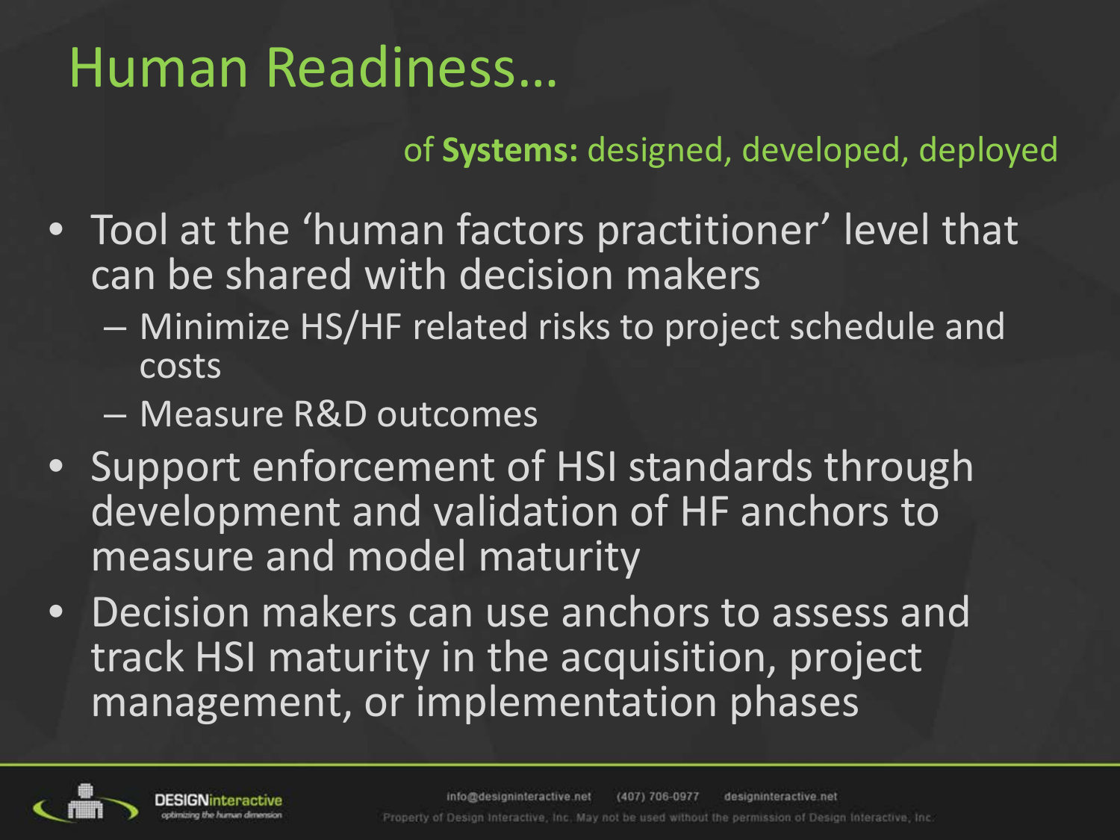## Human Readiness…

#### of **Systems:** designed, developed, deployed

- Tool at the 'human factors practitioner' level that can be shared with decision makers
	- Minimize HS/HF related risks to project schedule and costs
	- Measure R&D outcomes
- Support enforcement of HSI standards through development and validation of HF anchors to measure and model maturity
- Decision makers can use anchors to assess and track HSI maturity in the acquisition, project management, or implementation phases

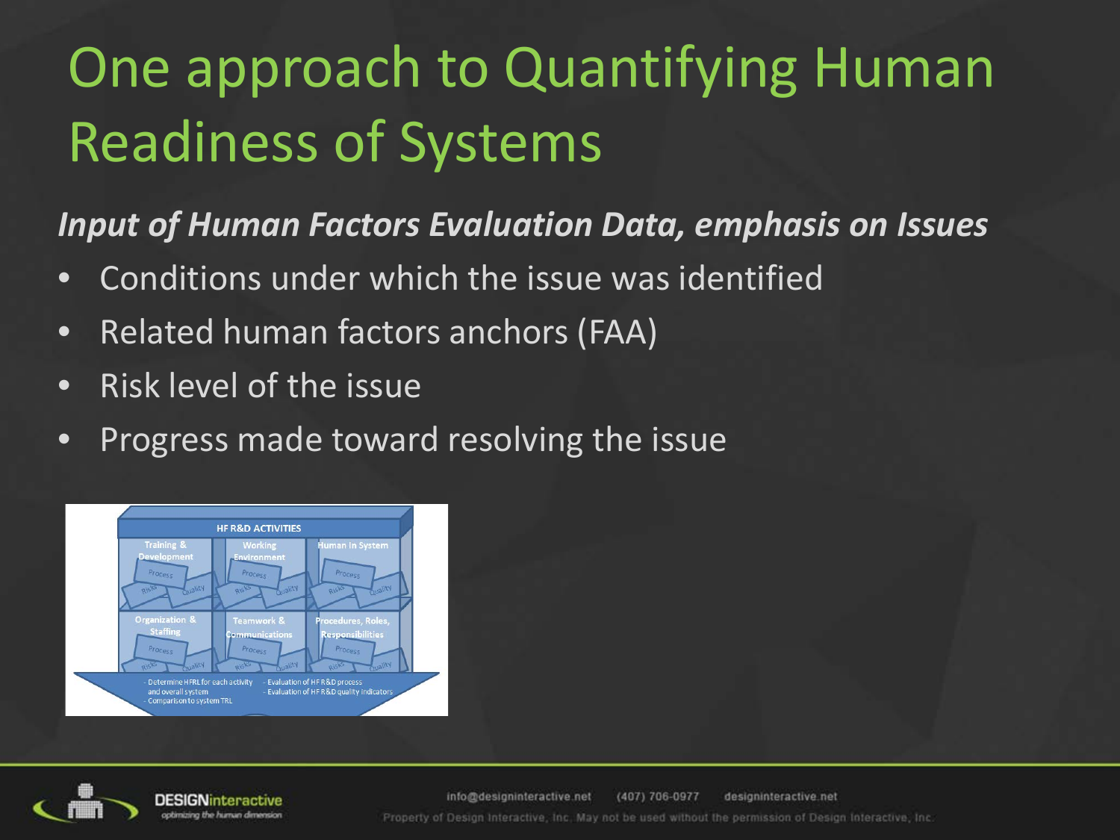# One approach to Quantifying Human Readiness of Systems

#### *Input of Human Factors Evaluation Data, emphasis on Issues*

- Conditions under which the issue was identified
- Related human factors anchors (FAA)
- Risk level of the issue
- Progress made toward resolving the issue





info@designinteractive.net (407) 706-0977 designinteractive.net Property of Design Interactive, Inc. May not be used without the permission of Design Interactive, Inc.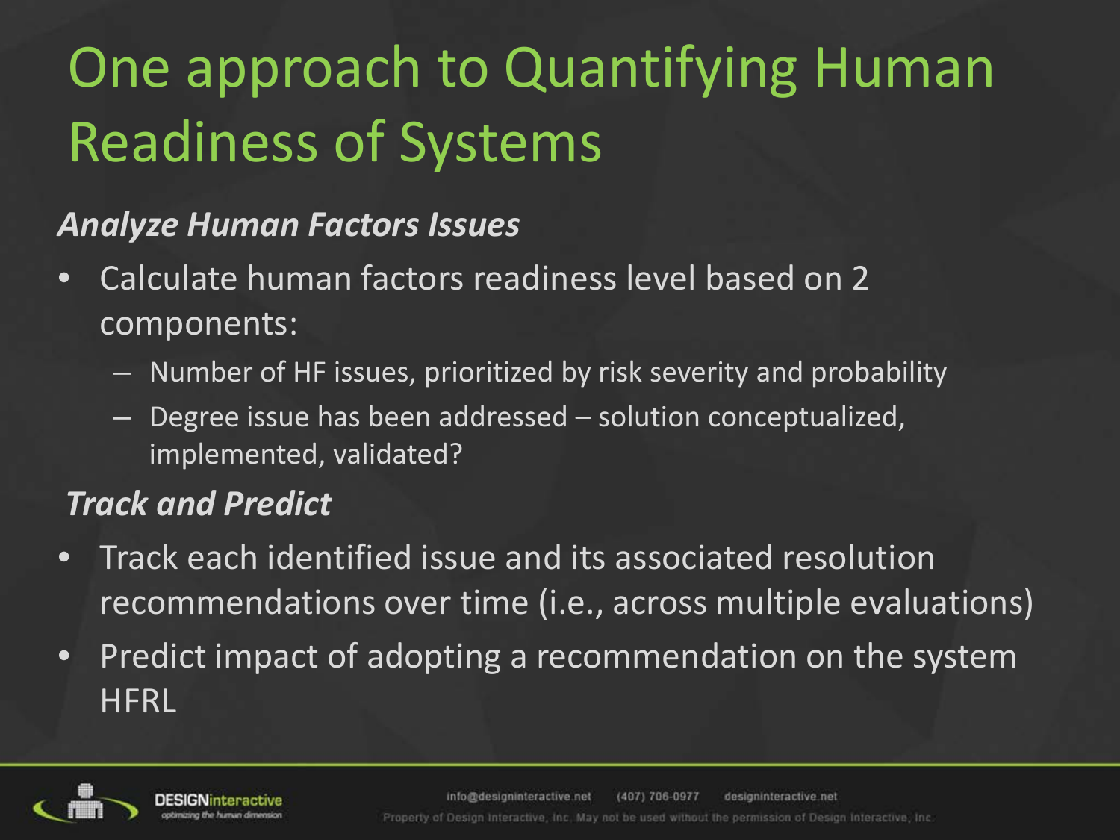# One approach to Quantifying Human Readiness of Systems

#### *Analyze Human Factors Issues*

- Calculate human factors readiness level based on 2 components:
	- Number of HF issues, prioritized by risk severity and probability
	- Degree issue has been addressed solution conceptualized, implemented, validated?

#### *Track and Predict*

- Track each identified issue and its associated resolution recommendations over time (i.e., across multiple evaluations)
- Predict impact of adopting a recommendation on the system **HFRL**

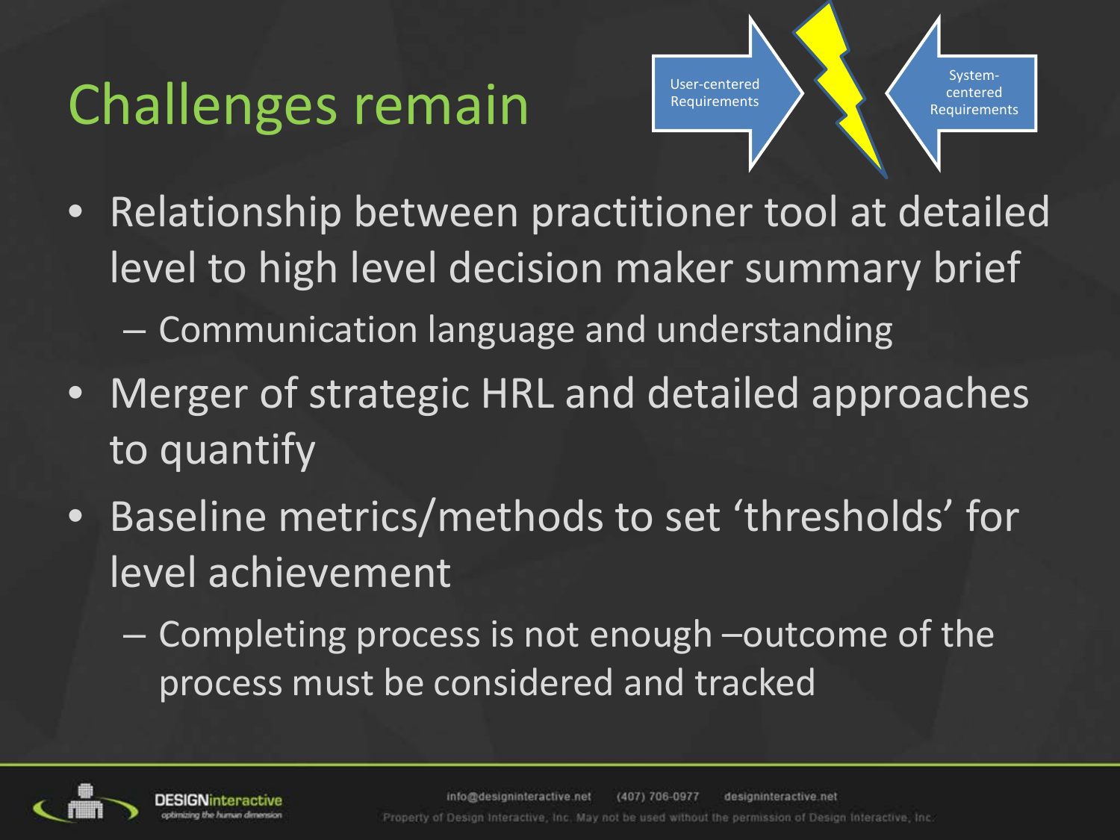## Challenges remain

User-centered **Requirements** 

Systemcentered Requirements

- Relationship between practitioner tool at detailed level to high level decision maker summary brief
	- Communication language and understanding
- Merger of strategic HRL and detailed approaches to quantify
- Baseline metrics/methods to set 'thresholds' for level achievement
	- Completing process is not enough –outcome of the process must be considered and tracked

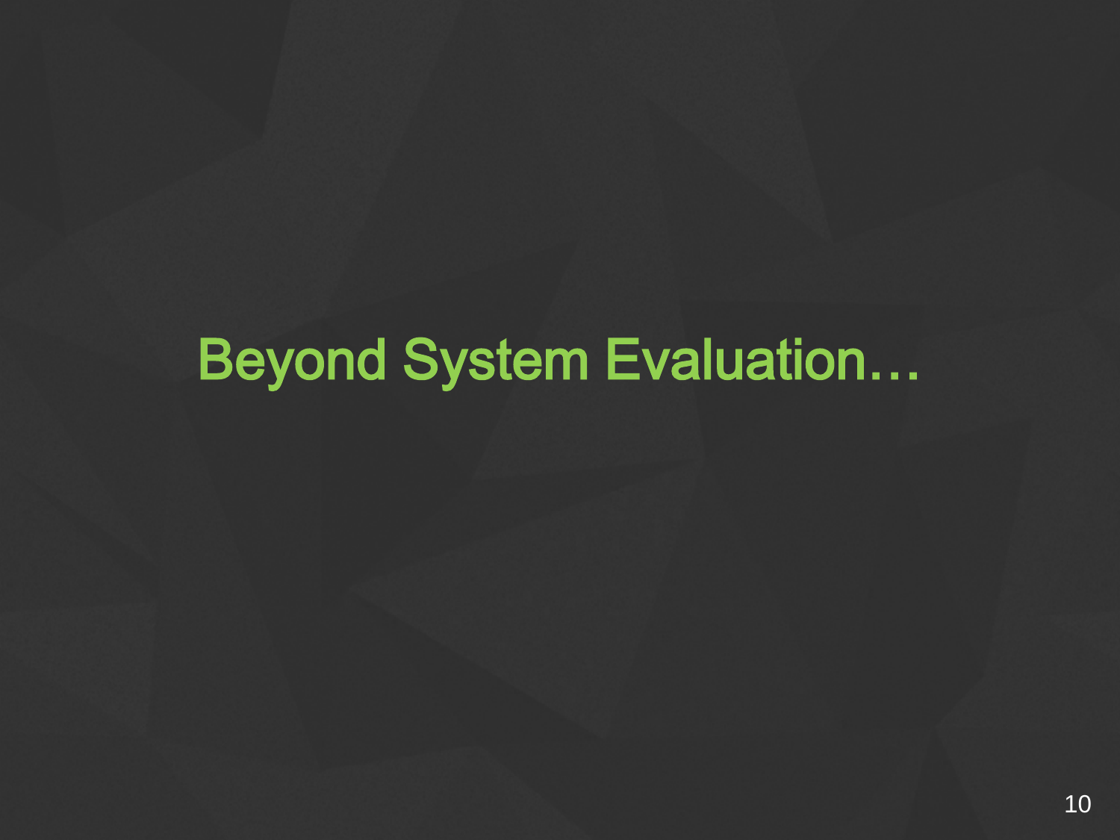## **Beyond System Evaluation...**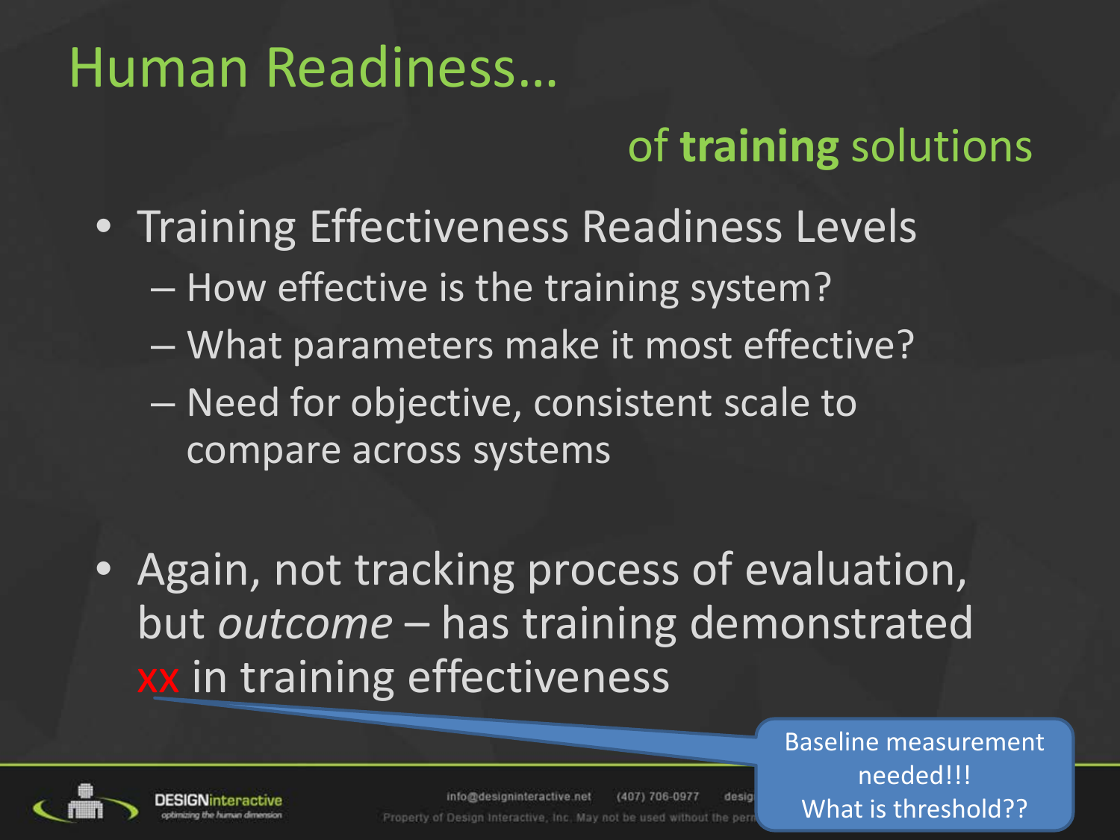### Human Readiness…

### of **training** solutions

- Training Effectiveness Readiness Levels
	- How effective is the training system?
	- What parameters make it most effective?
	- Need for objective, consistent scale to compare across systems
- Again, not tracking process of evaluation, but *outcome* – has training demonstrated xx in training effectiveness



info@designinteractive.net (407) 706-0977 desir Property of Design Interactive, Inc. May not be used without the pe

Baseline measurement needed!!! What is threshold??